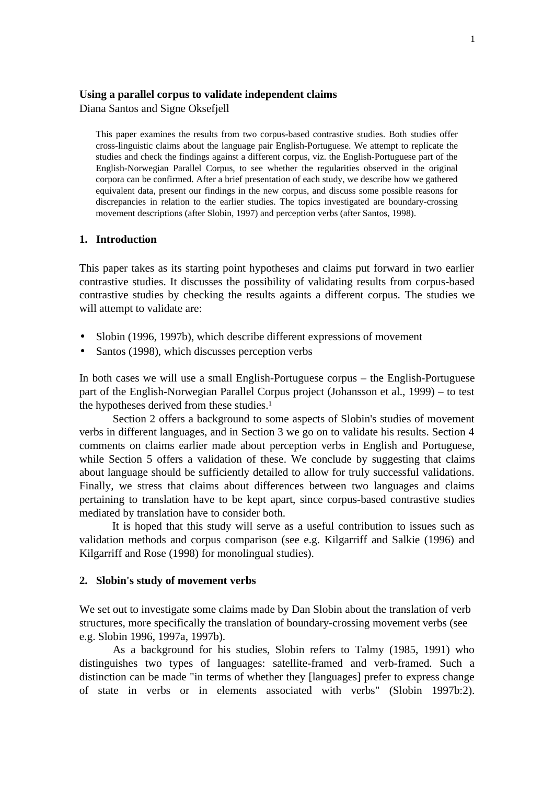#### **Using a parallel corpus to validate independent claims**

Diana Santos and Signe Oksefjell

This paper examines the results from two corpus-based contrastive studies. Both studies offer cross-linguistic claims about the language pair English-Portuguese. We attempt to replicate the studies and check the findings against a different corpus, viz. the English-Portuguese part of the English-Norwegian Parallel Corpus, to see whether the regularities observed in the original corpora can be confirmed. After a brief presentation of each study, we describe how we gathered equivalent data, present our findings in the new corpus, and discuss some possible reasons for discrepancies in relation to the earlier studies. The topics investigated are boundary-crossing movement descriptions (after Slobin, 1997) and perception verbs (after Santos, 1998).

## **1. Introduction**

This paper takes as its starting point hypotheses and claims put forward in two earlier contrastive studies. It discusses the possibility of validating results from corpus-based contrastive studies by checking the results againts a different corpus. The studies we will attempt to validate are:

- Slobin (1996, 1997b), which describe different expressions of movement
- Santos (1998), which discusses perception verbs

In both cases we will use a small English-Portuguese corpus – the English-Portuguese part of the English-Norwegian Parallel Corpus project (Johansson et al., 1999) – to test the hypotheses derived from these studies.<sup>1</sup>

Section 2 offers a background to some aspects of Slobin's studies of movement verbs in different languages, and in Section 3 we go on to validate his results. Section 4 comments on claims earlier made about perception verbs in English and Portuguese, while Section 5 offers a validation of these. We conclude by suggesting that claims about language should be sufficiently detailed to allow for truly successful validations. Finally, we stress that claims about differences between two languages and claims pertaining to translation have to be kept apart, since corpus-based contrastive studies mediated by translation have to consider both.

It is hoped that this study will serve as a useful contribution to issues such as validation methods and corpus comparison (see e.g. Kilgarriff and Salkie (1996) and Kilgarriff and Rose (1998) for monolingual studies).

### **2. Slobin's study of movement verbs**

We set out to investigate some claims made by Dan Slobin about the translation of verb structures, more specifically the translation of boundary-crossing movement verbs (see e.g. Slobin 1996, 1997a, 1997b).

As a background for his studies, Slobin refers to Talmy (1985, 1991) who distinguishes two types of languages: satellite-framed and verb-framed. Such a distinction can be made "in terms of whether they [languages] prefer to express change of state in verbs or in elements associated with verbs" (Slobin 1997b:2).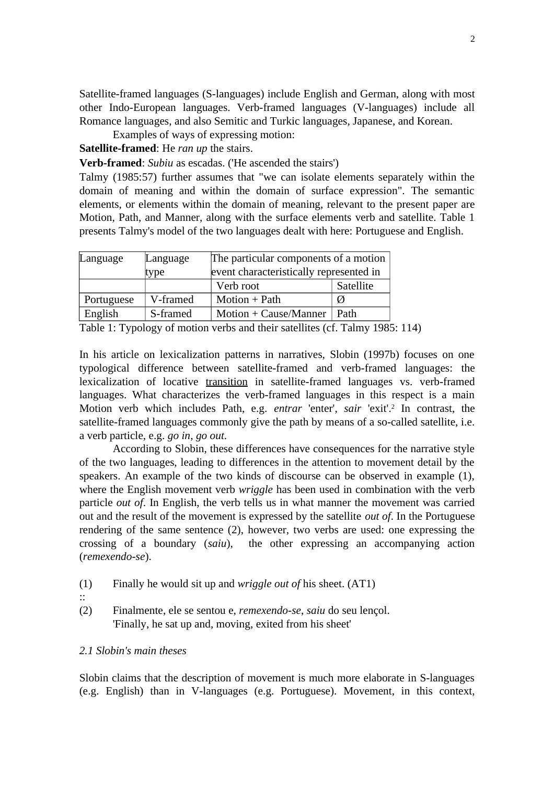Satellite-framed languages (S-languages) include English and German, along with most other Indo-European languages. Verb-framed languages (V-languages) include all Romance languages, and also Semitic and Turkic languages, Japanese, and Korean.

Examples of ways of expressing motion:

**Satellite-framed**: He *ran up* the stairs.

**Verb-framed**: *Subiu* as escadas. ('He ascended the stairs')

Talmy (1985:57) further assumes that "we can isolate elements separately within the domain of meaning and within the domain of surface expression". The semantic elements, or elements within the domain of meaning, relevant to the present paper are Motion, Path, and Manner, along with the surface elements verb and satellite. Table 1 presents Talmy's model of the two languages dealt with here: Portuguese and English.

| Language   | Language | The particular components of a motion   |           |  |  |  |  |
|------------|----------|-----------------------------------------|-----------|--|--|--|--|
|            | type     | event characteristically represented in |           |  |  |  |  |
|            |          | Verb root                               | Satellite |  |  |  |  |
| Portuguese | V-framed | Motion $+$ Path                         | Ø         |  |  |  |  |
| English    | S-framed | $Motion + Cause/Manner$                 | Path      |  |  |  |  |

Table 1: Typology of motion verbs and their satellites (cf. Talmy 1985: 114)

In his article on lexicalization patterns in narratives, Slobin (1997b) focuses on one typological difference between satellite-framed and verb-framed languages: the lexicalization of locative transition in satellite-framed languages vs. verb-framed languages. What characterizes the verb-framed languages in this respect is a main Motion verb which includes Path, e.g. *entrar* 'enter', *sair* 'exit'.<sup>2</sup> In contrast, the satellite-framed languages commonly give the path by means of a so-called satellite, i.e. a verb particle, e.g. *go in*, *go out*.

According to Slobin, these differences have consequences for the narrative style of the two languages, leading to differences in the attention to movement detail by the speakers. An example of the two kinds of discourse can be observed in example (1), where the English movement verb *wriggle* has been used in combination with the verb particle *out of*. In English, the verb tells us in what manner the movement was carried out and the result of the movement is expressed by the satellite *out of*. In the Portuguese rendering of the same sentence (2), however, two verbs are used: one expressing the crossing of a boundary (*saiu*), the other expressing an accompanying action (*remexendo-se*).

- (1) Finally he would sit up and *wriggle out of* his sheet. (AT1)
- ::
- (2) Finalmente, ele se sentou e, *remexendo-se*, *saiu* do seu lençol. 'Finally, he sat up and, moving, exited from his sheet'

## *2.1 Slobin's main theses*

Slobin claims that the description of movement is much more elaborate in S-languages (e.g. English) than in V-languages (e.g. Portuguese). Movement, in this context,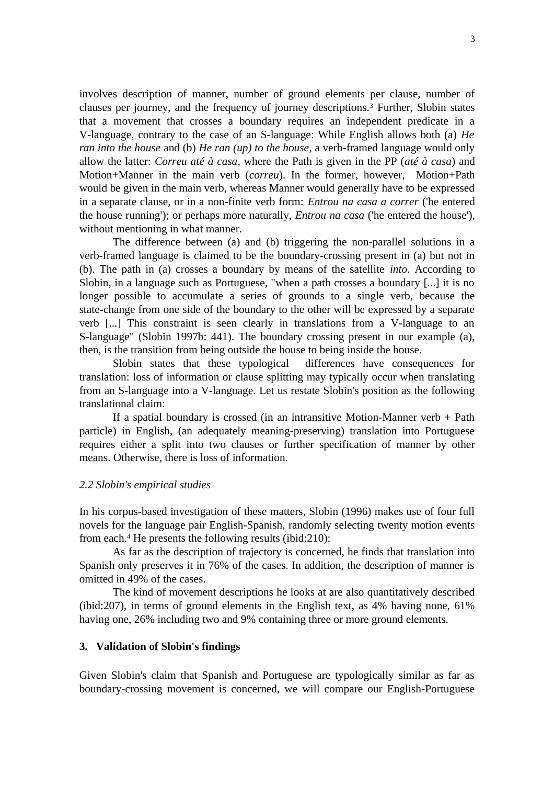involves description of manner, number of ground elements per clause, number of clauses per journey, and the frequency of journey descriptions.<sup>3</sup> Further, Slobin states that a movement that crosses a boundary requires an independent predicate in a V-language, contrary to the case of an S-language: While English allows both (a) *He ran into the house* and (b) *He ran (up) to the house*, a verb-framed language would only allow the latter: *Correu até à casa*, where the Path is given in the PP (*até à casa*) and Motion+Manner in the main verb (*correu*). In the former, however, Motion+Path would be given in the main verb, whereas Manner would generally have to be expressed in a separate clause, or in a non-finite verb form: *Entrou na casa a correr* ('he entered the house running'); or perhaps more naturally, *Entrou na casa* ('he entered the house'), without mentioning in what manner.

The difference between (a) and (b) triggering the non-parallel solutions in a verb-framed language is claimed to be the boundary-crossing present in (a) but not in (b). The path in (a) crosses a boundary by means of the satellite *into*. According to Slobin, in a language such as Portuguese, "when a path crosses a boundary [...] it is no longer possible to accumulate a series of grounds to a single verb, because the state-change from one side of the boundary to the other will be expressed by a separate verb [...] This constraint is seen clearly in translations from a V-language to an S-language" (Slobin 1997b: 441). The boundary crossing present in our example (a), then, is the transition from being outside the house to being inside the house.

Slobin states that these typological differences have consequences for translation: loss of information or clause splitting may typically occur when translating from an S-language into a V-language. Let us restate Slobin's position as the following translational claim:

If a spatial boundary is crossed (in an intransitive Motion-Manner verb  $+$  Path particle) in English, (an adequately meaning-preserving) translation into Portuguese requires either a split into two clauses or further specification of manner by other means. Otherwise, there is loss of information.

### *2.2 Slobin's empirical studies*

In his corpus-based investigation of these matters, Slobin (1996) makes use of four full novels for the language pair English-Spanish, randomly selecting twenty motion events from each.<sup>4</sup> He presents the following results (ibid:210):

As far as the description of trajectory is concerned, he finds that translation into Spanish only preserves it in 76% of the cases. In addition, the description of manner is omitted in 49% of the cases.

The kind of movement descriptions he looks at are also quantitatively described (ibid:207), in terms of ground elements in the English text, as 4% having none, 61% having one, 26% including two and 9% containing three or more ground elements.

### **3. Validation of Slobin's findings**

Given Slobin's claim that Spanish and Portuguese are typologically similar as far as boundary-crossing movement is concerned, we will compare our English-Portuguese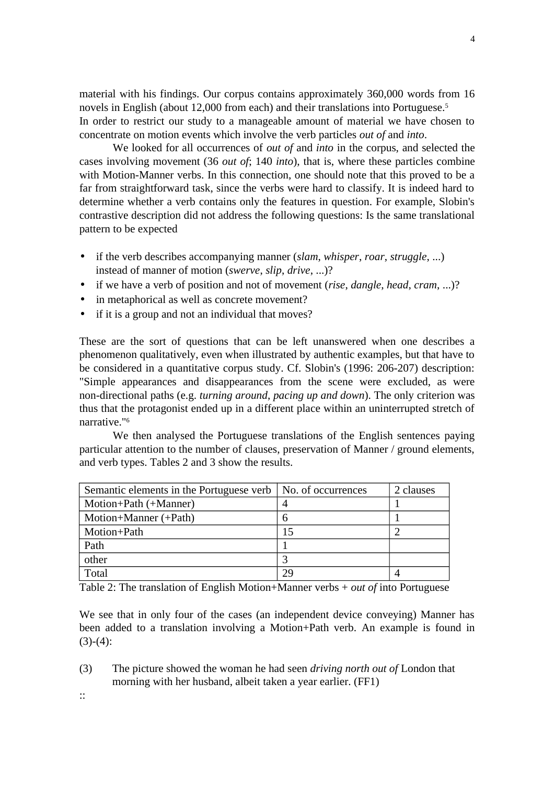material with his findings. Our corpus contains approximately 360,000 words from 16 novels in English (about 12,000 from each) and their translations into Portuguese.<sup>5</sup> In order to restrict our study to a manageable amount of material we have chosen to concentrate on motion events which involve the verb particles *out of* and *into*.

We looked for all occurrences of *out of* and *into* in the corpus, and selected the cases involving movement (36 *out of*; 140 *into*), that is, where these particles combine with Motion-Manner verbs. In this connection, one should note that this proved to be a far from straightforward task, since the verbs were hard to classify. It is indeed hard to determine whether a verb contains only the features in question. For example, Slobin's contrastive description did not address the following questions: Is the same translational pattern to be expected

- if the verb describes accompanying manner (*slam*, *whisper*, *roar*, *struggle*, ...) instead of manner of motion (*swerve*, *slip*, *drive*, ...)?
- if we have a verb of position and not of movement (*rise*, *dangle*, *head*, *cram*, ...)?
- in metaphorical as well as concrete movement?
- if it is a group and not an individual that moves?

These are the sort of questions that can be left unanswered when one describes a phenomenon qualitatively, even when illustrated by authentic examples, but that have to be considered in a quantitative corpus study. Cf. Slobin's (1996: 206-207) description: "Simple appearances and disappearances from the scene were excluded, as were non-directional paths (e.g. *turning around*, *pacing up and down*). The only criterion was thus that the protagonist ended up in a different place within an uninterrupted stretch of narrative."<sup>6</sup>

We then analysed the Portuguese translations of the English sentences paying particular attention to the number of clauses, preservation of Manner / ground elements, and verb types. Tables 2 and 3 show the results.

| Semantic elements in the Portuguese verb   No. of occurrences |    | 2 clauses |
|---------------------------------------------------------------|----|-----------|
| Motion+Path (+Manner)                                         |    |           |
| Motion+Manner (+Path)                                         | h  |           |
| Motion+Path                                                   | 15 | ◠         |
| Path                                                          |    |           |
| other                                                         |    |           |
| Total                                                         | 29 |           |

Table 2: The translation of English Motion+Manner verbs + *out of* into Portuguese

We see that in only four of the cases (an independent device conveying) Manner has been added to a translation involving a Motion+Path verb. An example is found in  $(3)-(4)$ :

(3) The picture showed the woman he had seen *driving north out of* London that morning with her husband, albeit taken a year earlier. (FF1)

::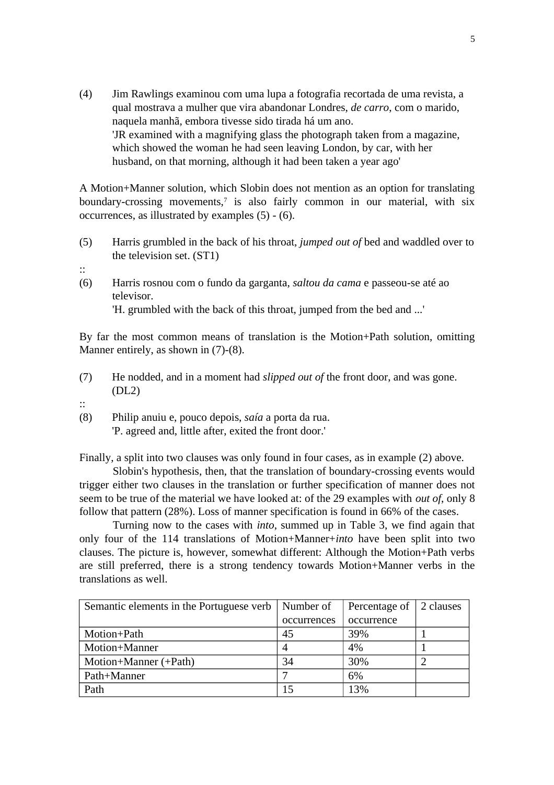(4) Jim Rawlings examinou com uma lupa a fotografia recortada de uma revista, a qual mostrava a mulher que vira abandonar Londres, *de carro*, com o marido, naquela manhã, embora tivesse sido tirada há um ano. 'JR examined with a magnifying glass the photograph taken from a magazine, which showed the woman he had seen leaving London, by car, with her husband, on that morning, although it had been taken a year ago'

A Motion+Manner solution, which Slobin does not mention as an option for translating boundary-crossing movements,<sup>7</sup> is also fairly common in our material, with six occurrences, as illustrated by examples (5) - (6).

- (5) Harris grumbled in the back of his throat, *jumped out of* bed and waddled over to the television set. (ST1)
- ::
- (6) Harris rosnou com o fundo da garganta, *saltou da cama* e passeou-se até ao televisor.

'H. grumbled with the back of this throat, jumped from the bed and ...'

By far the most common means of translation is the Motion+Path solution, omitting Manner entirely, as shown in (7)-(8).

- (7) He nodded, and in a moment had *slipped out of* the front door, and was gone. (DL2)
- ::
- (8) Philip anuiu e, pouco depois, *saía* a porta da rua.

'P. agreed and, little after, exited the front door.'

Finally, a split into two clauses was only found in four cases, as in example (2) above.

Slobin's hypothesis, then, that the translation of boundary-crossing events would trigger either two clauses in the translation or further specification of manner does not seem to be true of the material we have looked at: of the 29 examples with *out of*, only 8 follow that pattern (28%). Loss of manner specification is found in 66% of the cases.

Turning now to the cases with *into*, summed up in Table 3, we find again that only four of the 114 translations of Motion+Manner+*into* have been split into two clauses. The picture is, however, somewhat different: Although the Motion+Path verbs are still preferred, there is a strong tendency towards Motion+Manner verbs in the translations as well.

| Semantic elements in the Portuguese verb | Number of   | Percentage of | 2 clauses |
|------------------------------------------|-------------|---------------|-----------|
|                                          | occurrences | occurrence    |           |
| Motion+Path                              | 45          | 39%           |           |
| Motion+Manner                            |             | 4%            |           |
| Motion+Manner (+Path)                    | 34          | 30%           |           |
| Path+Manner                              |             | 6%            |           |
| Path                                     | 15          | 13%           |           |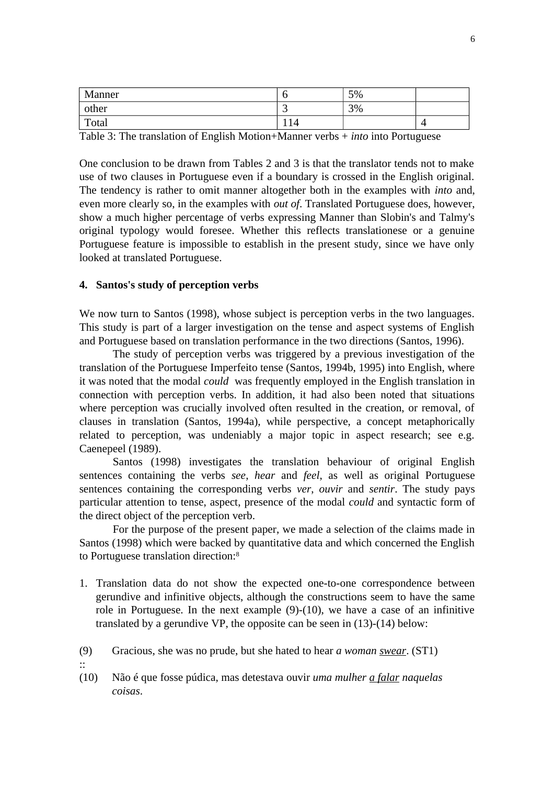| Manner |     | 5% |  |
|--------|-----|----|--|
| other  | . . | 3% |  |
| Total  | 14  |    |  |

Table 3: The translation of English Motion+Manner verbs + *into* into Portuguese

One conclusion to be drawn from Tables 2 and 3 is that the translator tends not to make use of two clauses in Portuguese even if a boundary is crossed in the English original. The tendency is rather to omit manner altogether both in the examples with *into* and, even more clearly so, in the examples with *out of*. Translated Portuguese does, however, show a much higher percentage of verbs expressing Manner than Slobin's and Talmy's original typology would foresee. Whether this reflects translationese or a genuine Portuguese feature is impossible to establish in the present study, since we have only looked at translated Portuguese.

### **4. Santos's study of perception verbs**

We now turn to Santos (1998), whose subject is perception verbs in the two languages. This study is part of a larger investigation on the tense and aspect systems of English and Portuguese based on translation performance in the two directions (Santos, 1996).

The study of perception verbs was triggered by a previous investigation of the translation of the Portuguese Imperfeito tense (Santos, 1994b, 1995) into English, where it was noted that the modal *could* was frequently employed in the English translation in connection with perception verbs. In addition, it had also been noted that situations where perception was crucially involved often resulted in the creation, or removal, of clauses in translation (Santos, 1994a), while perspective, a concept metaphorically related to perception, was undeniably a major topic in aspect research; see e.g. Caenepeel (1989).

Santos (1998) investigates the translation behaviour of original English sentences containing the verbs *see*, *hear* and *feel*, as well as original Portuguese sentences containing the corresponding verbs *ver*, *ouvir* and *sentir*. The study pays particular attention to tense, aspect, presence of the modal *could* and syntactic form of the direct object of the perception verb.

For the purpose of the present paper, we made a selection of the claims made in Santos (1998) which were backed by quantitative data and which concerned the English to Portuguese translation direction:<sup>8</sup>

- 1. Translation data do not show the expected one-to-one correspondence between gerundive and infinitive objects, although the constructions seem to have the same role in Portuguese. In the next example (9)-(10), we have a case of an infinitive translated by a gerundive VP, the opposite can be seen in (13)-(14) below:
- (9) Gracious, she was no prude, but she hated to hear *a woman swear*. (ST1)
- ::
- (10) Não é que fosse púdica, mas detestava ouvir *uma mulher a falar naquelas coisas*.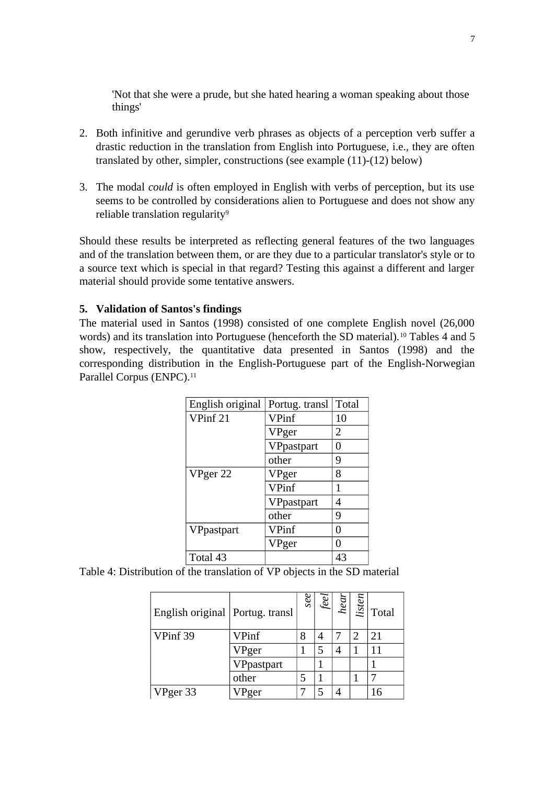'Not that she were a prude, but she hated hearing a woman speaking about those things'

- 2. Both infinitive and gerundive verb phrases as objects of a perception verb suffer a drastic reduction in the translation from English into Portuguese, i.e., they are often translated by other, simpler, constructions (see example (11)-(12) below)
- 3. The modal *could* is often employed in English with verbs of perception, but its use seems to be controlled by considerations alien to Portuguese and does not show any reliable translation regularity<sup>9</sup>

Should these results be interpreted as reflecting general features of the two languages and of the translation between them, or are they due to a particular translator's style or to a source text which is special in that regard? Testing this against a different and larger material should provide some tentative answers.

# **5. Validation of Santos's findings**

The material used in Santos (1998) consisted of one complete English novel (26,000 words) and its translation into Portuguese (henceforth the SD material).<sup>10</sup> Tables 4 and 5 show, respectively, the quantitative data presented in Santos (1998) and the corresponding distribution in the English-Portuguese part of the English-Norwegian Parallel Corpus (ENPC).<sup>11</sup>

| English original | Portug. transl | Total |
|------------------|----------------|-------|
| VPinf 21         | VPinf          | 10    |
|                  | VPger          | 2     |
|                  | VPpastpart     | 0     |
|                  | other          | 9     |
| VPger 22         | VPger          | 8     |
|                  | VPinf          | 1     |
|                  | VPpastpart     | 4     |
|                  | other          | 9     |
| VPpastpart       | VPinf          | 0     |
|                  | VPger          | 0     |
| Total 43         |                | 43    |

Table 4: Distribution of the translation of VP objects in the SD material

| English original Portug. transl |            | see | ee | hear |   | $\frac{1}{2}$ Total |
|---------------------------------|------------|-----|----|------|---|---------------------|
| VPinf 39                        | VPinf      |     |    |      | ာ | 21                  |
|                                 | VPger      |     |    |      |   |                     |
|                                 | VPpastpart |     |    |      |   |                     |
|                                 | other      |     |    |      |   |                     |
| VPger 33                        | ger        |     |    |      |   |                     |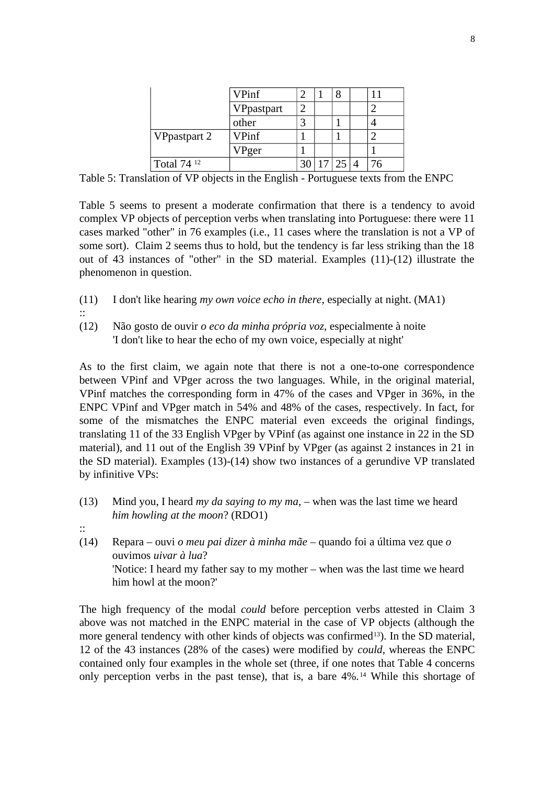|                        | VPinf      |  |  |    |
|------------------------|------------|--|--|----|
|                        | VPpastpart |  |  |    |
|                        | other      |  |  |    |
| VPpastpart 2           | VPinf      |  |  |    |
|                        | $V$ Pger   |  |  |    |
| Total 74 <sup>12</sup> |            |  |  | 76 |

Table 5: Translation of VP objects in the English - Portuguese texts from the ENPC

Table 5 seems to present a moderate confirmation that there is a tendency to avoid complex VP objects of perception verbs when translating into Portuguese: there were 11 cases marked "other" in 76 examples (i.e., 11 cases where the translation is not a VP of some sort). Claim 2 seems thus to hold, but the tendency is far less striking than the 18 out of 43 instances of "other" in the SD material. Examples (11)-(12) illustrate the phenomenon in question.

- (11) I don't like hearing *my own voice echo in there*, especially at night. (MA1) ::
- (12) Não gosto de ouvir *o eco da minha própria voz*, especialmente à noite 'I don't like to hear the echo of my own voice, especially at night'

As to the first claim, we again note that there is not a one-to-one correspondence between VPinf and VPger across the two languages. While, in the original material, VPinf matches the corresponding form in 47% of the cases and VPger in 36%, in the ENPC VPinf and VPger match in 54% and 48% of the cases, respectively. In fact, for some of the mismatches the ENPC material even exceeds the original findings, translating 11 of the 33 English VPger by VPinf (as against one instance in 22 in the SD material), and 11 out of the English 39 VPinf by VPger (as against 2 instances in 21 in the SD material). Examples (13)-(14) show two instances of a gerundive VP translated by infinitive VPs:

- (13) Mind you, I heard *my da saying to my ma*, when was the last time we heard *him howling at the moon*? (RDO1)
- ::
- (14) Repara ouvi *o meu pai dizer à minha mãe* quando foi a última vez que *o* ouvimos *uivar à lua*? 'Notice: I heard my father say to my mother – when was the last time we heard him howl at the moon?'

The high frequency of the modal *could* before perception verbs attested in Claim 3 above was not matched in the ENPC material in the case of VP objects (although the more general tendency with other kinds of objects was confirmed<sup>13</sup>). In the SD material, 12 of the 43 instances (28% of the cases) were modified by *could*, whereas the ENPC contained only four examples in the whole set (three, if one notes that Table 4 concerns only perception verbs in the past tense), that is, a bare 4%.14 While this shortage of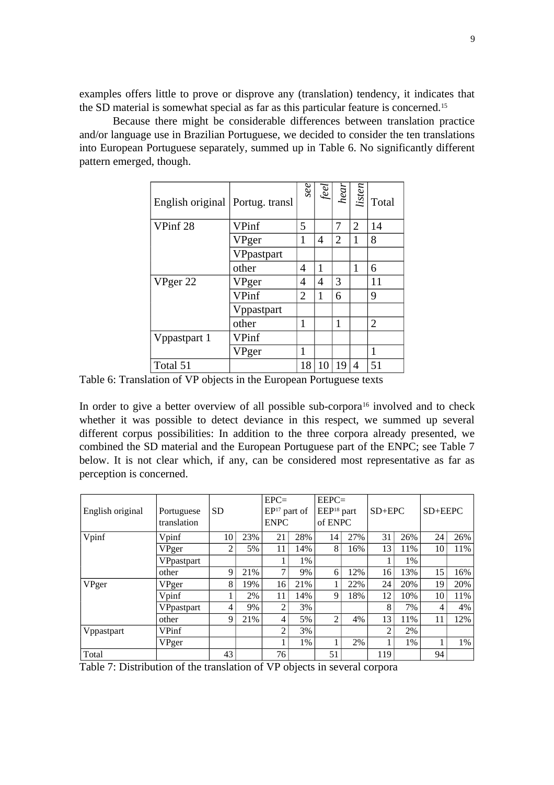examples offers little to prove or disprove any (translation) tendency, it indicates that the SD material is somewhat special as far as this particular feature is concerned.<sup>15</sup>

Because there might be considerable differences between translation practice and/or language use in Brazilian Portuguese, we decided to consider the ten translations into European Portuguese separately, summed up in Table 6. No significantly different pattern emerged, though.

| English original   Portug. transl |            | se             | $f\!\!\stackrel{e}{=}$ | hear | <i>listen</i>  | Total          |
|-----------------------------------|------------|----------------|------------------------|------|----------------|----------------|
| VPinf 28                          | VPinf      | 5              |                        | 7    | $\overline{2}$ | 14             |
|                                   | VPger      | 1              | 4                      | 2    | 1              | 8              |
|                                   | VPpastpart |                |                        |      |                |                |
|                                   | other      | 4              | 1                      |      | 1              | 6              |
| VPger 22                          | VPger      | 4              | 4                      | 3    |                | 11             |
|                                   | VPinf      | $\overline{2}$ | 1                      | 6    |                | 9              |
|                                   | Vppastpart |                |                        |      |                |                |
|                                   | other      | 1              |                        | 1    |                | $\overline{2}$ |
| Vppastpart 1                      | VPinf      |                |                        |      |                |                |
|                                   | VPger      | 1              |                        |      |                |                |
| Total 51                          |            | 18             | 10                     | 19   | 4              | 51             |

Table 6: Translation of VP objects in the European Portuguese texts

In order to give a better overview of all possible sub-corpora $16$  involved and to check whether it was possible to detect deviance in this respect, we summed up several different corpus possibilities: In addition to the three corpora already presented, we combined the SD material and the European Portuguese part of the ENPC; see Table 7 below. It is not clear which, if any, can be considered most representative as far as perception is concerned.

| English original | Portuguese<br>translation | <b>SD</b>      |     | $EPC=$<br>$EP17$ part of<br><b>ENPC</b> |     | $EEPC=$<br>EEP <sup>18</sup> part<br>of ENPC |     | $SD+EPC$ |       | $SD+EEPC$ |     |
|------------------|---------------------------|----------------|-----|-----------------------------------------|-----|----------------------------------------------|-----|----------|-------|-----------|-----|
| Vpinf            | Vpinf                     | 10             | 23% | 21                                      | 28% | 14                                           | 27% | 31       | 26%   | 24        | 26% |
|                  | VPger                     | 2              | 5%  | 11                                      | 14% | 8                                            | 16% | 13       | 11%   | 10        | 11% |
|                  | VPpastpart                |                |     |                                         | 1%  |                                              |     |          | $1\%$ |           |     |
|                  | other                     | 9              | 21% | 7                                       | 9%  | 6                                            | 12% | 16       | 13%   | 15        | 16% |
| VPger            | VPger                     | 8              | 19% | 16                                      | 21% |                                              | 22% | 24       | 20%   | 19        | 20% |
|                  | Vpinf                     |                | 2%  | 11                                      | 14% | 9                                            | 18% | 12       | 10%   | 10        | 11% |
|                  | <b>VPpastpart</b>         | $\overline{4}$ | 9%  | $\overline{2}$                          | 3%  |                                              |     | 8        | 7%    | 4         | 4%  |
|                  | other                     | 9              | 21% | 4                                       | 5%  | $\overline{2}$                               | 4%  | 13       | 11%   | 11        | 12% |
| Vppastpart       | <b>VPinf</b>              |                |     | 2                                       | 3%  |                                              |     | 2        | 2%    |           |     |
|                  | VPger                     |                |     |                                         | 1%  |                                              | 2%  |          | 1%    |           | 1%  |
| Total            |                           | 43             |     | 76                                      |     | 51                                           |     | 119      |       | 94        |     |

Table 7: Distribution of the translation of VP objects in several corpora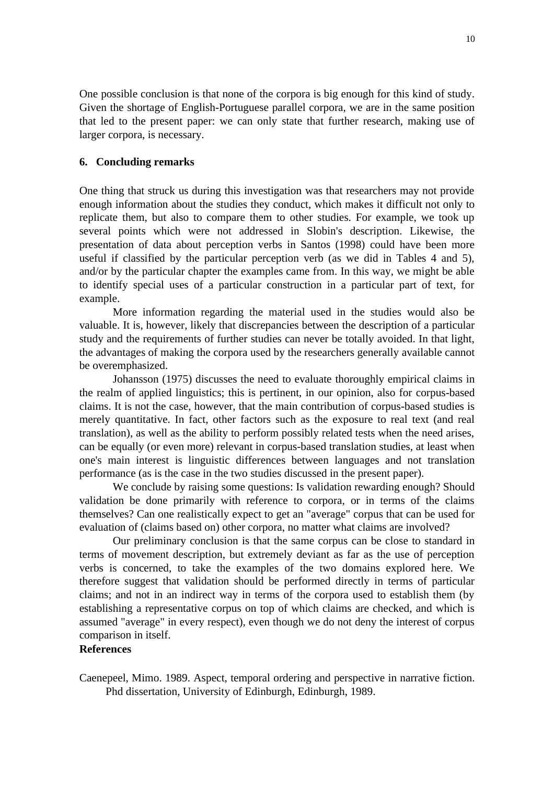One possible conclusion is that none of the corpora is big enough for this kind of study. Given the shortage of English-Portuguese parallel corpora, we are in the same position that led to the present paper: we can only state that further research, making use of larger corpora, is necessary.

## **6. Concluding remarks**

One thing that struck us during this investigation was that researchers may not provide enough information about the studies they conduct, which makes it difficult not only to replicate them, but also to compare them to other studies. For example, we took up several points which were not addressed in Slobin's description. Likewise, the presentation of data about perception verbs in Santos (1998) could have been more useful if classified by the particular perception verb (as we did in Tables 4 and 5), and/or by the particular chapter the examples came from. In this way, we might be able to identify special uses of a particular construction in a particular part of text, for example.

More information regarding the material used in the studies would also be valuable. It is, however, likely that discrepancies between the description of a particular study and the requirements of further studies can never be totally avoided. In that light, the advantages of making the corpora used by the researchers generally available cannot be overemphasized.

Johansson (1975) discusses the need to evaluate thoroughly empirical claims in the realm of applied linguistics; this is pertinent, in our opinion, also for corpus-based claims. It is not the case, however, that the main contribution of corpus-based studies is merely quantitative. In fact, other factors such as the exposure to real text (and real translation), as well as the ability to perform possibly related tests when the need arises, can be equally (or even more) relevant in corpus-based translation studies, at least when one's main interest is linguistic differences between languages and not translation performance (as is the case in the two studies discussed in the present paper).

We conclude by raising some questions: Is validation rewarding enough? Should validation be done primarily with reference to corpora, or in terms of the claims themselves? Can one realistically expect to get an "average" corpus that can be used for evaluation of (claims based on) other corpora, no matter what claims are involved?

Our preliminary conclusion is that the same corpus can be close to standard in terms of movement description, but extremely deviant as far as the use of perception verbs is concerned, to take the examples of the two domains explored here. We therefore suggest that validation should be performed directly in terms of particular claims; and not in an indirect way in terms of the corpora used to establish them (by establishing a representative corpus on top of which claims are checked, and which is assumed "average" in every respect), even though we do not deny the interest of corpus comparison in itself.

## **References**

Caenepeel, Mimo. 1989. Aspect, temporal ordering and perspective in narrative fiction. Phd dissertation, University of Edinburgh, Edinburgh, 1989.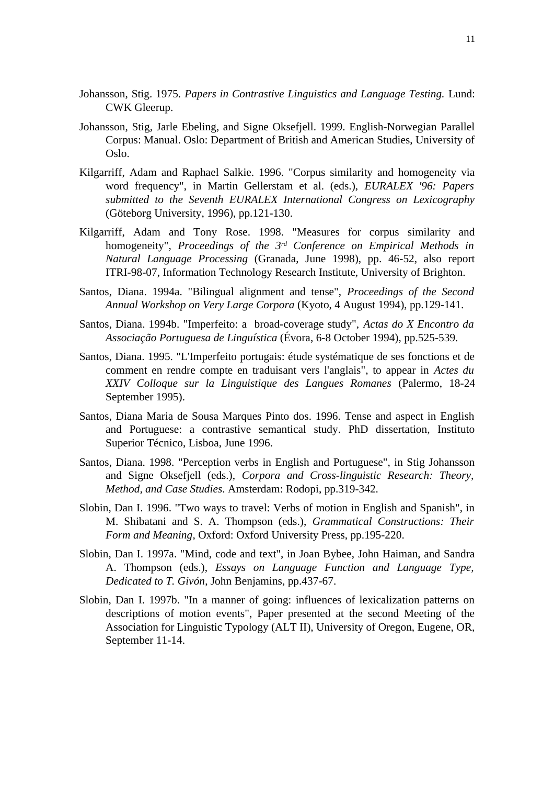- Johansson, Stig. 1975. *Papers in Contrastive Linguistics and Language Testing.* Lund: CWK Gleerup.
- Johansson, Stig, Jarle Ebeling, and Signe Oksefjell. 1999. English-Norwegian Parallel Corpus: Manual. Oslo: Department of British and American Studies, University of Oslo.
- Kilgarriff, Adam and Raphael Salkie. 1996. "Corpus similarity and homogeneity via word frequency", in Martin Gellerstam et al. (eds.), *EURALEX '96: Papers submitted to the Seventh EURALEX International Congress on Lexicography* (Göteborg University, 1996), pp.121-130.
- Kilgarriff, Adam and Tony Rose. 1998. "Measures for corpus similarity and homogeneity", *Proceedings of the 3rd Conference on Empirical Methods in Natural Language Processing* (Granada, June 1998), pp. 46-52, also report ITRI-98-07, Information Technology Research Institute, University of Brighton.
- Santos, Diana. 1994a. "Bilingual alignment and tense", *Proceedings of the Second Annual Workshop on Very Large Corpora* (Kyoto, 4 August 1994), pp.129-141.
- Santos, Diana. 1994b. "Imperfeito: a broad-coverage study", *Actas do X Encontro da Associação Portuguesa de Linguística* (Évora, 6-8 October 1994), pp.525-539.
- Santos, Diana. 1995. "L'Imperfeito portugais: étude systématique de ses fonctions et de comment en rendre compte en traduisant vers l'anglais", to appear in *Actes du XXIV Colloque sur la Linguistique des Langues Romanes* (Palermo, 18-24 September 1995).
- Santos, Diana Maria de Sousa Marques Pinto dos. 1996. Tense and aspect in English and Portuguese: a contrastive semantical study. PhD dissertation, Instituto Superior Técnico, Lisboa, June 1996.
- Santos, Diana. 1998. "Perception verbs in English and Portuguese", in Stig Johansson and Signe Oksefjell (eds.), *Corpora and Cross-linguistic Research: Theory, Method, and Case Studies*. Amsterdam: Rodopi, pp.319-342.
- Slobin, Dan I. 1996. "Two ways to travel: Verbs of motion in English and Spanish", in M. Shibatani and S. A. Thompson (eds.), *Grammatical Constructions: Their Form and Meaning*, Oxford: Oxford University Press, pp.195-220.
- Slobin, Dan I. 1997a. "Mind, code and text", in Joan Bybee, John Haiman, and Sandra A. Thompson (eds.), *Essays on Language Function and Language Type, Dedicated to T. Givón*, John Benjamins, pp.437-67.
- Slobin, Dan I. 1997b. "In a manner of going: influences of lexicalization patterns on descriptions of motion events", Paper presented at the second Meeting of the Association for Linguistic Typology (ALT II), University of Oregon, Eugene, OR, September 11-14.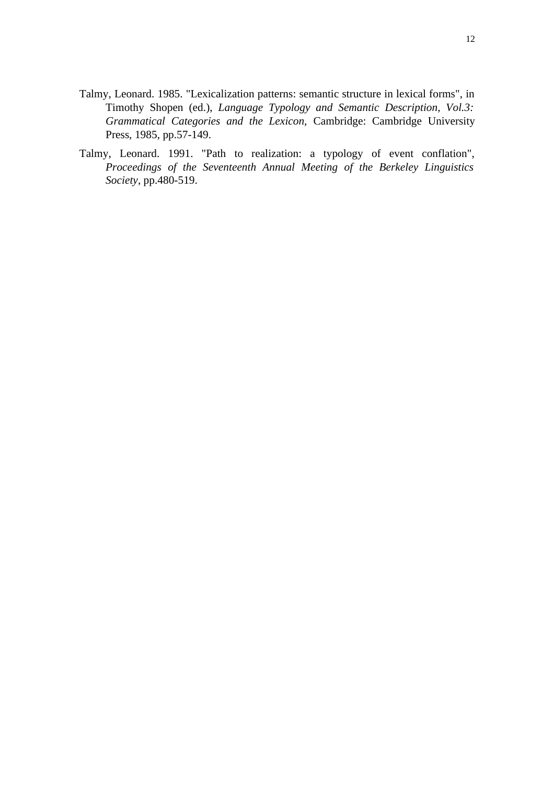- Talmy, Leonard. 1985. "Lexicalization patterns: semantic structure in lexical forms", in Timothy Shopen (ed.), *Language Typology and Semantic Description, Vol.3: Grammatical Categories and the Lexicon,* Cambridge: Cambridge University Press, 1985, pp.57-149.
- Talmy, Leonard. 1991. "Path to realization: a typology of event conflation", *Proceedings of the Seventeenth Annual Meeting of the Berkeley Linguistics Society*, pp.480-519.